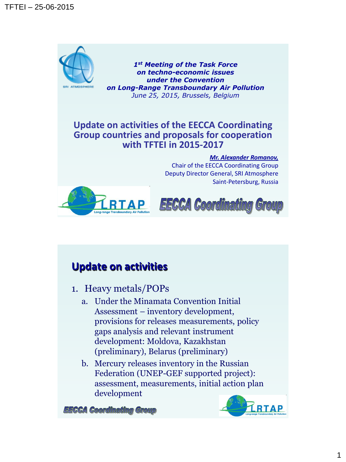

*1st Meeting of the Task Force on techno-economic issues under the Convention on Long-Range Transboundary Air Pollution June 25, 2015, Brussels, Belgium* 

#### **Update on activities of the EECCA Coordinating Group countries and proposals for cooperation with TFTEI in 2015-2017**

#### *Mr. Alexander Romanov,*

Chair of the EECCA Coordinating Group Deputy Director General, SRI Atmosphere Saint-Petersburg, Russia





## **Update on activities**

- 1. Heavy metals/POPs
	- a. Under the Minamata Convention Initial Assessment – inventory development, provisions for releases measurements, policy gaps analysis and relevant instrument development: Moldova, Kazakhstan (preliminary), Belarus (preliminary)
	- b. Mercury releases inventory in the Russian Federation (UNEP-GEF supported project): assessment, measurements, initial action plan development



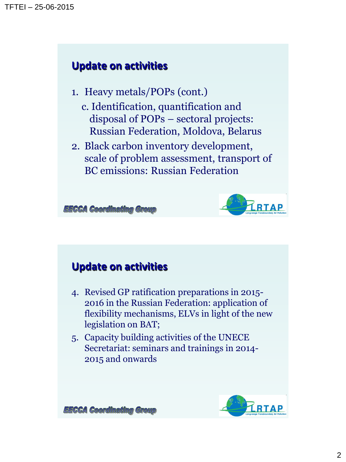## **Update on activities**

- 1. Heavy metals/POPs (cont.)
	- c. Identification, quantification and disposal of POPs – sectoral projects: Russian Federation, Moldova, Belarus
- 2. Black carbon inventory development, scale of problem assessment, transport of BC emissions: Russian Federation

**EECCA Coordinating Group** 



## **Update on activities**

- 4. Revised GP ratification preparations in 2015- 2016 in the Russian Federation: application of flexibility mechanisms, ELVs in light of the new legislation on BAT;
- 5. Capacity building activities of the UNECE Secretariat: seminars and trainings in 2014- 2015 and onwards



**EECCA Coordinating Group**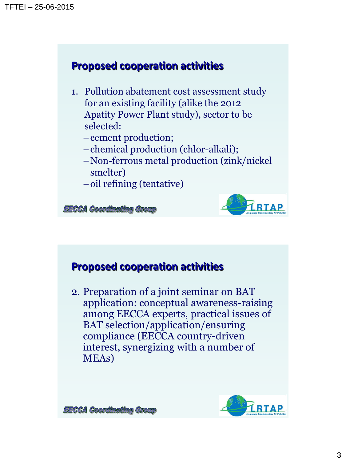### **Proposed cooperation activities**

1. Pollution abatement cost assessment study for an existing facility (alike the 2012 Apatity Power Plant study), sector to be selected:

–cement production;

- –chemical production (chlor-alkali);
- –Non-ferrous metal production (zink/nickel smelter)
- –oil refining (tentative)

**EECCA Coordinating Group** 



#### **Proposed cooperation activities**

2. Preparation of a joint seminar on BAT application: conceptual awareness-raising among EECCA experts, practical issues of BAT selection/application/ensuring compliance (EECCA country-driven interest, synergizing with a number of MEAs)



**EECCA Coordinating Group**